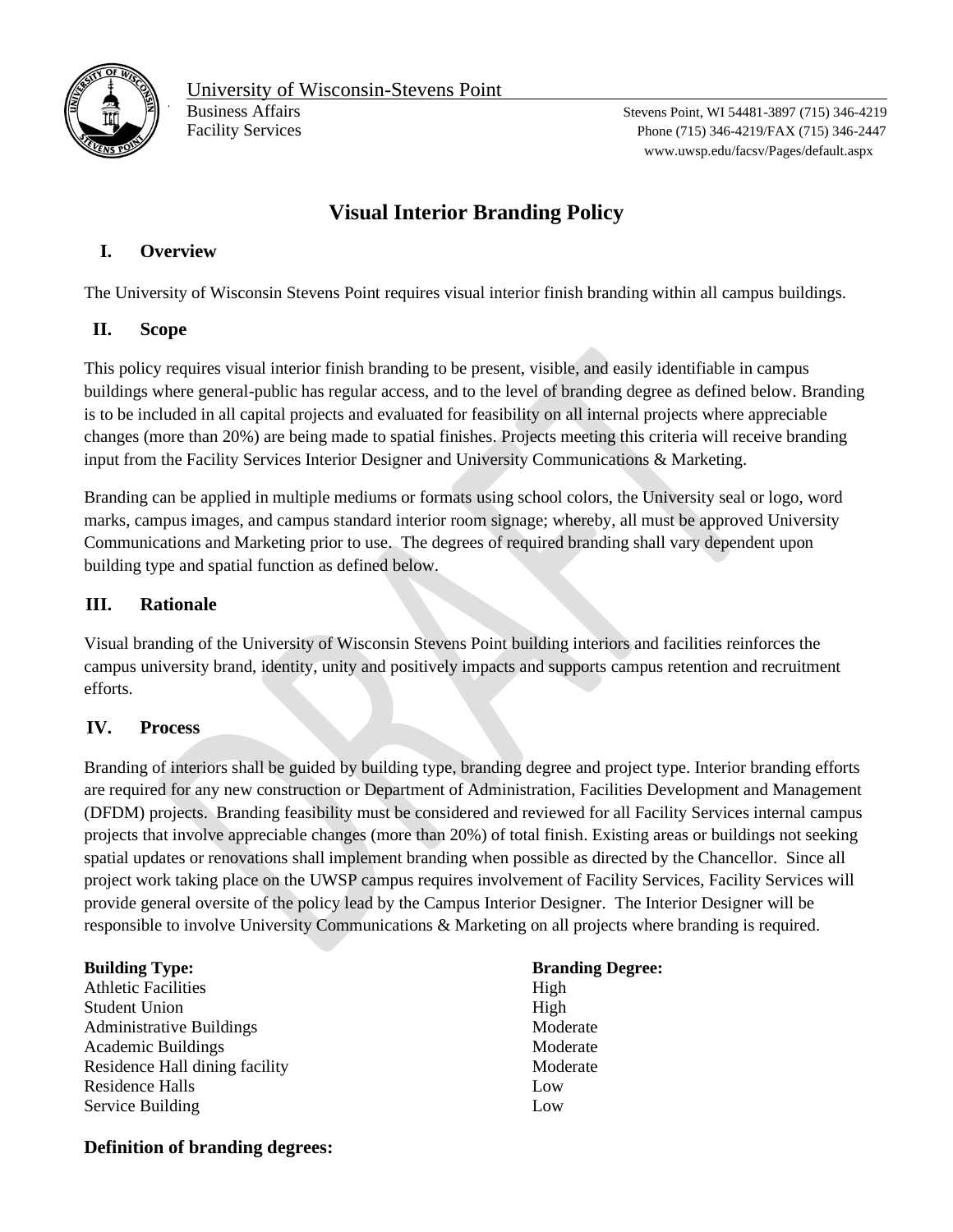

www.uwsp.edu/facsv/Pages/default.aspx

# **Visual Interior Branding Policy**

## **I. Overview**

The University of Wisconsin Stevens Point requires visual interior finish branding within all campus buildings.

### **II. Scope**

This policy requires visual interior finish branding to be present, visible, and easily identifiable in campus buildings where general-public has regular access, and to the level of branding degree as defined below. Branding is to be included in all capital projects and evaluated for feasibility on all internal projects where appreciable changes (more than 20%) are being made to spatial finishes. Projects meeting this criteria will receive branding input from the Facility Services Interior Designer and University Communications & Marketing.

Branding can be applied in multiple mediums or formats using school colors, the University seal or logo, word marks, campus images, and campus standard interior room signage; whereby, all must be approved University Communications and Marketing prior to use. The degrees of required branding shall vary dependent upon building type and spatial function as defined below.

#### **III. Rationale**

Visual branding of the University of Wisconsin Stevens Point building interiors and facilities reinforces the campus university brand, identity, unity and positively impacts and supports campus retention and recruitment efforts.

### **IV. Process**

Branding of interiors shall be guided by building type, branding degree and project type. Interior branding efforts are required for any new construction or Department of Administration, Facilities Development and Management (DFDM) projects. Branding feasibility must be considered and reviewed for all Facility Services internal campus projects that involve appreciable changes (more than 20%) of total finish. Existing areas or buildings not seeking spatial updates or renovations shall implement branding when possible as directed by the Chancellor. Since all project work taking place on the UWSP campus requires involvement of Facility Services, Facility Services will provide general oversite of the policy lead by the Campus Interior Designer. The Interior Designer will be responsible to involve University Communications & Marketing on all projects where branding is required.

| <b>Building Type:</b>           | <b>Bran</b> |
|---------------------------------|-------------|
| <b>Athletic Facilities</b>      | High        |
| <b>Student Union</b>            | High        |
| <b>Administrative Buildings</b> | Mod         |
| <b>Academic Buildings</b>       | Mod         |
| Residence Hall dining facility  | Mod         |
| <b>Residence Halls</b>          | Low         |
| Service Building                | Low         |

**Branding Degree:** Moderate Moderate Moderate

### **Definition of branding degrees:**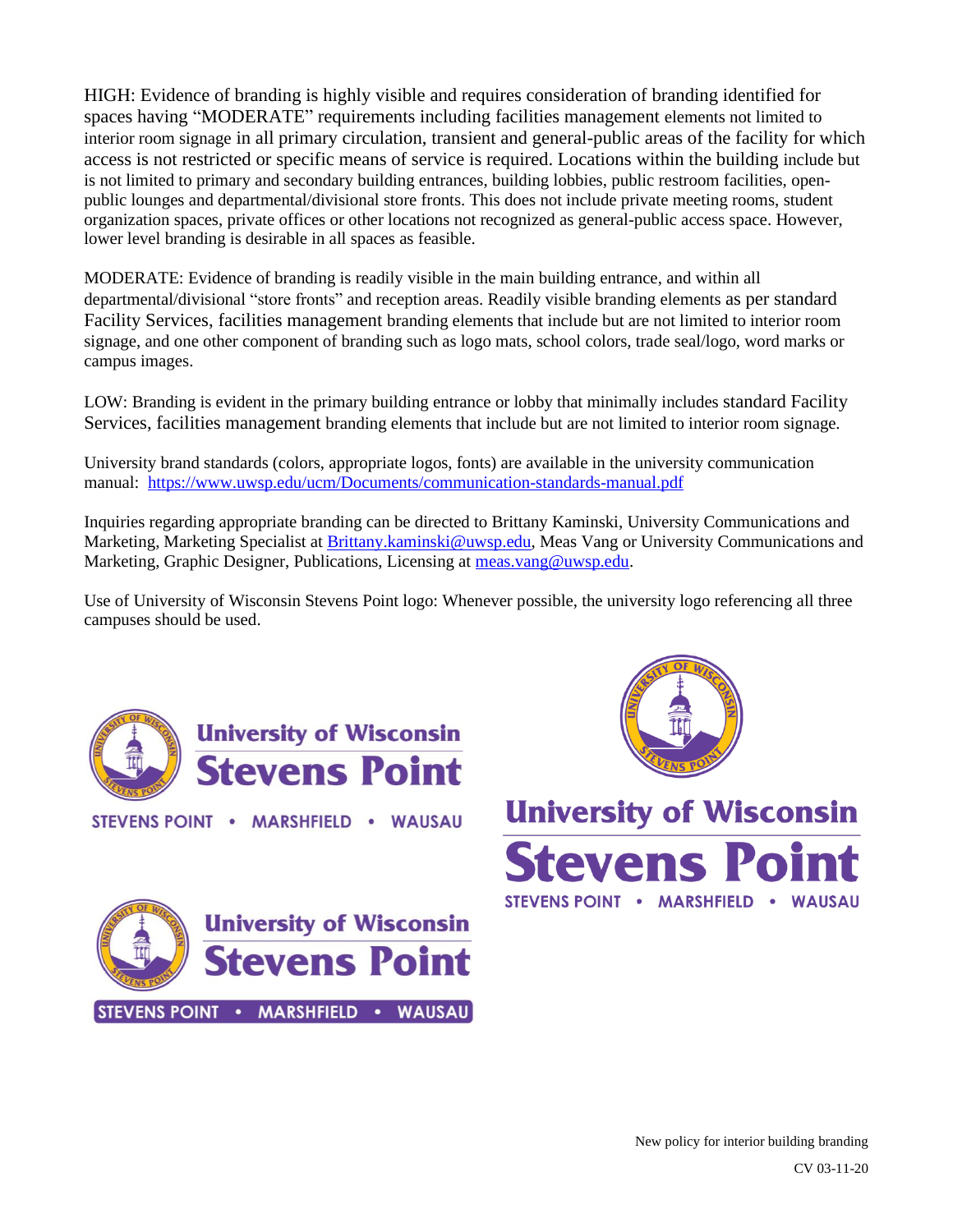HIGH: Evidence of branding is highly visible and requires consideration of branding identified for spaces having "MODERATE" requirements including facilities management elements not limited to interior room signage in all primary circulation, transient and general-public areas of the facility for which access is not restricted or specific means of service is required. Locations within the building include but is not limited to primary and secondary building entrances, building lobbies, public restroom facilities, openpublic lounges and departmental/divisional store fronts. This does not include private meeting rooms, student organization spaces, private offices or other locations not recognized as general-public access space. However, lower level branding is desirable in all spaces as feasible.

MODERATE: Evidence of branding is readily visible in the main building entrance, and within all departmental/divisional "store fronts" and reception areas. Readily visible branding elements as per standard Facility Services, facilities management branding elements that include but are not limited to interior room signage, and one other component of branding such as logo mats, school colors, trade seal/logo, word marks or campus images.

LOW: Branding is evident in the primary building entrance or lobby that minimally includes standard Facility Services, facilities management branding elements that include but are not limited to interior room signage.

University brand standards (colors, appropriate logos, fonts) are available in the university communication manual: <https://www.uwsp.edu/ucm/Documents/communication-standards-manual.pdf>

Inquiries regarding appropriate branding can be directed to Brittany Kaminski, University Communications and Marketing, Marketing Specialist at [Brittany.kaminski@uwsp.edu,](mailto:Brittany.kaminski@uwsp.edu) Meas Vang or University Communications and Marketing, Graphic Designer, Publications, Licensing at [meas.vang@uwsp.edu.](mailto:meas.vang@uwsp.edu)

Use of University of Wisconsin Stevens Point logo: Whenever possible, the university logo referencing all three campuses should be used.



STEVENS POINT . MARSHFIELD . WAUSAU